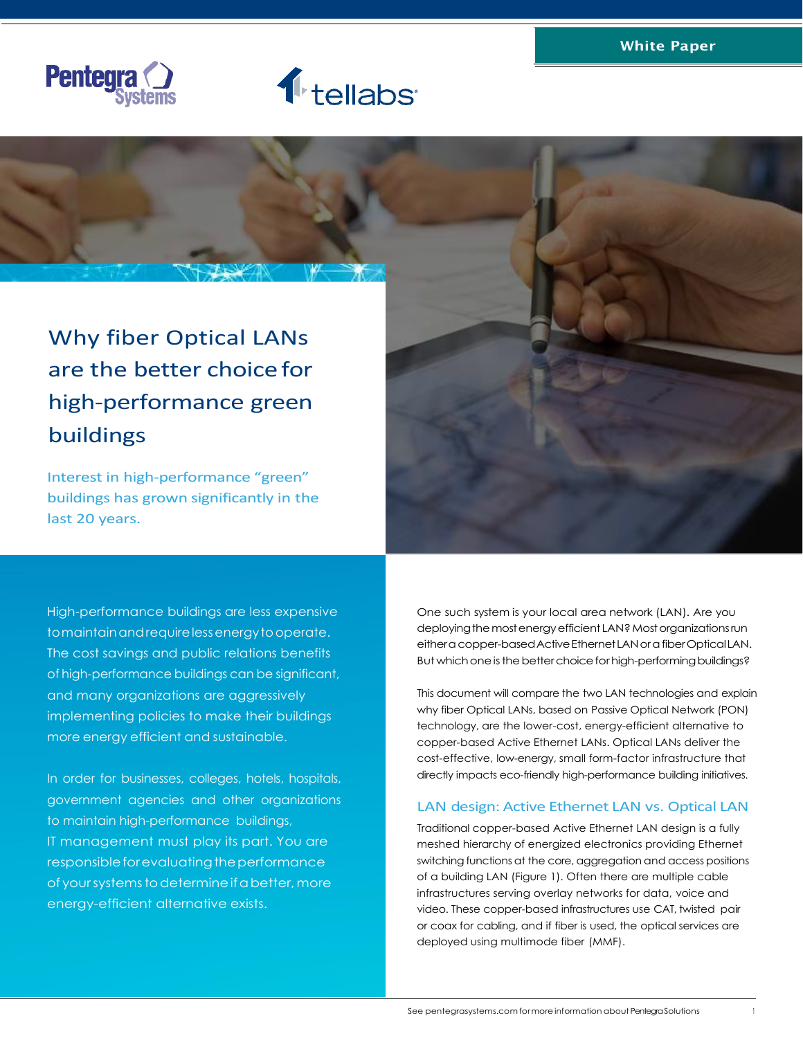





# are the better choice for high-performance green buildings

Interest in high-performance "green" buildings has grown significantly in the last 20 years.

High-performance buildings are less expensive tomaintainandrequirelessenergytooperate. The cost savings and public relations benefits of high-performance buildings can be significant, and many organizations are aggressively implementing policies to make their buildings more energy efficient and sustainable.

In order for businesses, colleges, hotels, hospitals, government agencies and other organizations to maintain high-performance buildings, IT management must play its part. You are responsible for evaluating the performance of your systems to determine if a better, more energy-efficient alternative exists.

One such system is your local area network (LAN). Are you deploying the most energy efficient LAN? Most organizations run eithera copper-based Active Ethernet LAN or a fiber Optical LAN. But which one is the better choice for high-performing buildings?

This document will compare the two LAN technologies and explain why fiber Optical LANs, based on Passive Optical Network (PON) technology, are the lower-cost, energy-efficient alternative to copper-based Active Ethernet LANs. Optical LANs deliver the cost-effective, low-energy, small form-factor infrastructure that directly impacts eco-friendly high-performance building initiatives.

# LAN design: Active Ethernet LAN vs. Optical LAN

Traditional copper-based Active Ethernet LAN design is a fully meshed hierarchy of energized electronics providing Ethernet switching functions at the core, aggregation and access positions of a building LAN (Figure 1). Often there are multiple cable infrastructures serving overlay networks for data, voice and video. These copper-based infrastructures use CAT, twisted pair or coax for cabling, and if fiber is used, the optical services are deployed using multimode fiber (MMF).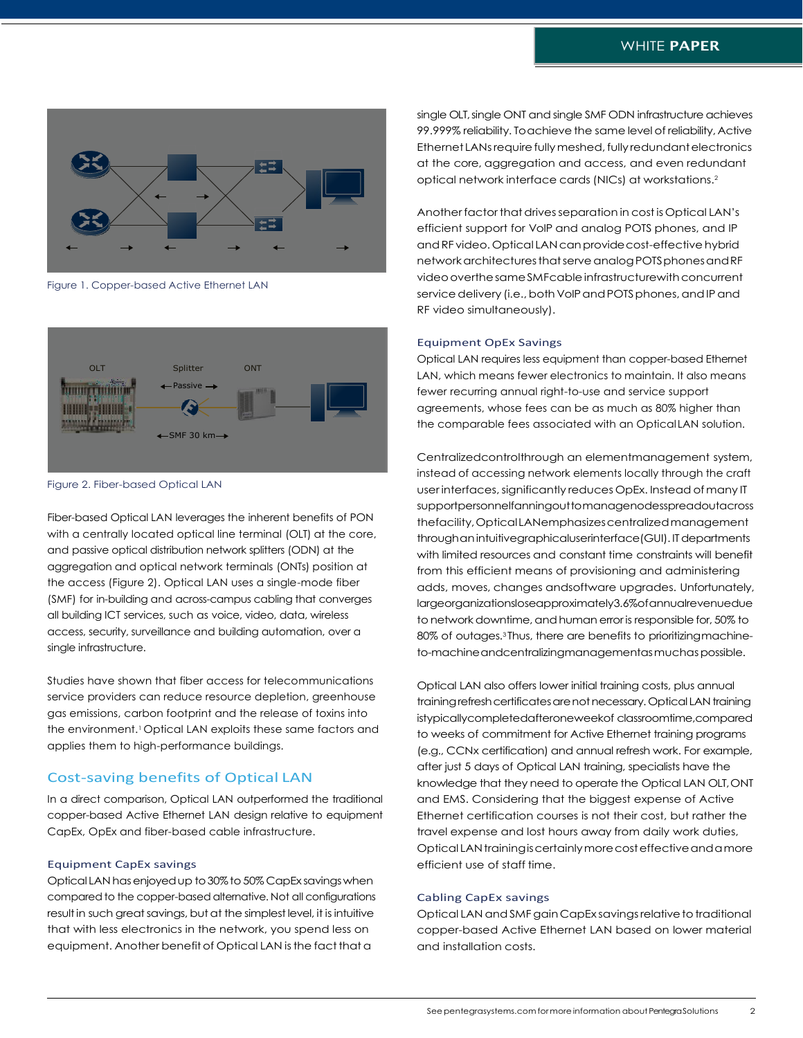

Figure 1. Copper-based Active Ethernet LAN



Figure 2. Fiber-based Optical LAN

Fiber-based Optical LAN leverages the inherent benefits of PON with a centrally located optical line terminal (OLT) at the core, and passive optical distribution network splitters (ODN) at the aggregation and optical network terminals (ONTs) position at the access (Figure 2). Optical LAN uses a single-mode fiber (SMF) for in-building and across-campus cabling that converges all building ICT services, such as voice, video, data, wireless access, security, surveillance and building automation, over a single infrastructure.

Studies have shown that fiber access for telecommunications service providers can reduce resource depletion, greenhouse gas emissions, carbon footprint and the release of toxins into the environment.<sup>1</sup> Optical LAN exploits these same factors and applies them to high-performance buildings.

# Cost-saving benefits of Optical LAN

In a direct comparison, Optical LAN outperformed the traditional copper-based Active Ethernet LAN design relative to equipment CapEx, OpEx and fiber-based cable infrastructure.

#### Equipment CapEx savings

Optical LAN hasenjoyedup to30%to 50% CapEx savingswhen comparedto the copper-basedalternative. Not all configurations result in such great savings, but at the simplest level, it is intuitive that with less electronics in the network, you spend less on equipment. Another benefit of Optical LAN is the fact that a

single OLT, single ONT and single SMF ODN infrastructure achieves 99.999% reliability. To achieve the same level of reliability, Active Ethernet LANs require fully meshed, fully redundant electronics at the core, aggregation and access, and even redundant optical network interface cards (NICs) at workstations.<sup>2</sup>

Another factor that drives separation in cost is Optical LAN's efficient support for VoIP and analog POTS phones, and IP and RF video. Optical LAN can provide cost-effective hybrid networkarchitecturesthatserveanalogPOTSphonesandRF video overthe same SMFcable infrastructure with concurrent service delivery (i.e., both VoIP and POTS phones, and IP and RF video simultaneously).

#### Equipment OpEx Savings

Optical LAN requires less equipment than copper-based Ethernet LAN, which means fewer electronics to maintain. It also means fewer recurring annual right-to-use and service support agreements, whose fees can be as much as 80% higher than the comparable fees associated with an Optical LAN solution.

Centralizedcontrolthrough an elementmanagement system, instead of accessing network elements locally through the craft user interfaces, significantly reduces OpEx. Instead of many IT supportpersonnelfanningouttomanagenodesspreadoutacross thefacility,OpticalLANemphasizescentralizedmanagement throughan intuitivegraphicaluserinterface(GUI). IT departments with limited resources and constant time constraints will benefit from this efficient means of provisioning and administering adds, moves, changes andsoftware upgrades. Unfortunately, largeorganizationsloseapproximately3.6%ofannualrevenuedue to network downtime, and human error is responsible for, 50% to 80% of outages.3 Thus, there are benefits to prioritizingmachineto-machineandcentralizingmanagementasmuchaspossible.

Optical LAN also offers lower initial training costs, plus annual training refresh certificates are not necessary. Optical LAN training istypicallycompletedafteroneweekof classroomtime,compared to weeks of commitment for Active Ethernet training programs (e.g., CCNx certification) and annual refresh work. For example, after just 5 days of Optical LAN training, specialists have the knowledge that they need to operate the Optical LAN OLT,ONT and EMS. Considering that the biggest expense of Active Ethernet certification courses is not their cost, but rather the travel expense and lost hours away from daily work duties, Optical LAN training is certainly more cost effective and a more efficient use of staff time.

#### Cabling CapEx savings

Optical LAN and SMF gain CapEx savings relative to traditional copper-based Active Ethernet LAN based on lower material and installation costs.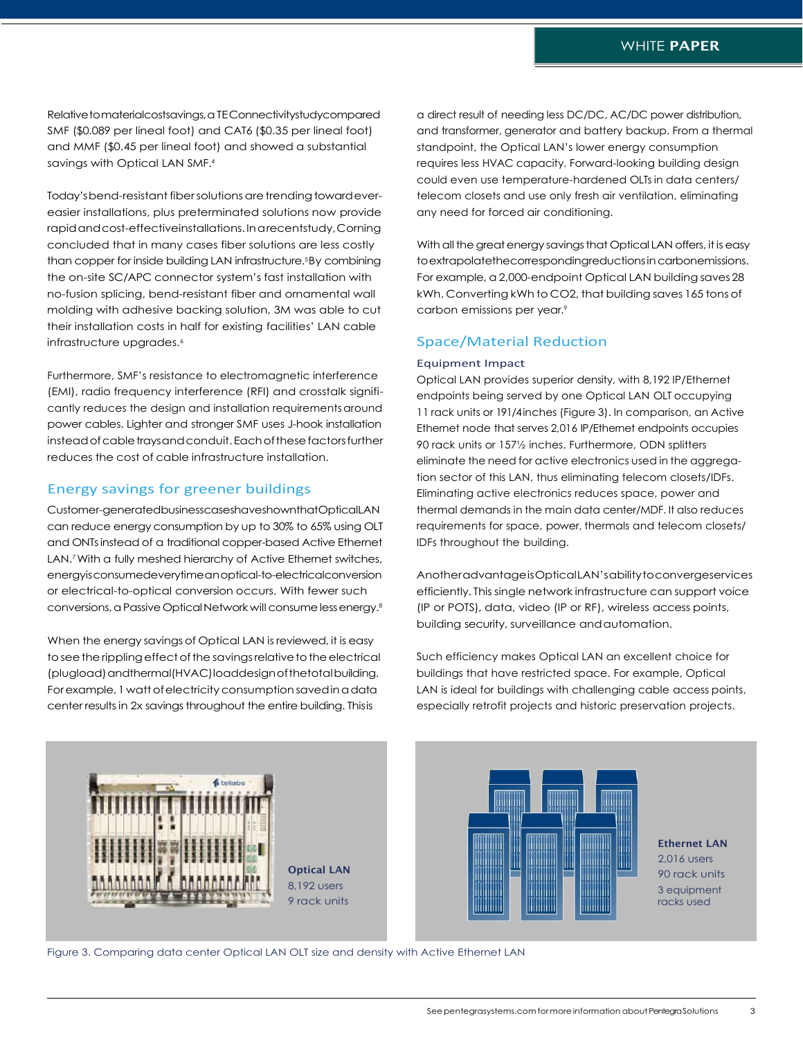Relative to materialcostsavings, a TEConnectivitystudycompared SMF (\$0.089 per lineal foot) and CAT6 (\$0.35 per lineal foot) and MMF (\$0.45 per lineal foot) and showed a substantial savings with Optical LAN SMF.<sup>4</sup>

Today's bend-resistant fiber solutions are trending toward evereasier installations, plus preterminated solutions now provide rapidandcost-effectiveinstallations.Inarecentstudy,Corning concluded that in many cases fiber solutions are less costly than copper for inside building LAN infrastructure.5By combining the on-site SC/APC connector system's fast installation with no-fusion splicing, bend-resistant fiber and ornamental wall molding with adhesive backing solution, 3M was able to cut their installation costs in half for existing facilities' LAN cable infrastructure upgrades.<sup>6</sup>

Furthermore, SMF's resistance to electromagnetic interference (EMI), radio frequency interference (RFI) and crosstalk significantly reduces the design and installation requirementsaround power cables. Lighter and stronger SMF uses J-hook installation instead of cable traysand conduit. Each of these factors further reduces the cost of cable infrastructure installation.

# Energy savings for greener buildings

Customer-generatedbusinesscaseshaveshownthatOpticalLAN can reduce energy consumption by up to 30% to 65% using OLT and ONTsinstead of a traditional copper-based Active Ethernet LAN.<sup>7</sup> With a fully meshed hierarchy of Active Ethernet switches, energyisconsumedeverytimeanoptical-to-electricalconversion or electrical-to-optical conversion occurs. With fewer such conversions, a Passive Optical Network will consume less energy.<sup>8</sup>

When the energy savings of Optical LAN is reviewed, it is easy to see the rippling effect of the savings relative to the electrical (plugload)andthermal(HVAC)loaddesignofthetotalbuilding. For example, 1 watt of electricity consumption saved in a data center results in 2x savings throughout the entire building. Thisis

a direct result of needing less DC/DC, AC/DC power distribution, and transformer, generator and battery backup. From a thermal standpoint, the Optical LAN's lower energy consumption requires less HVAC capacity. Forward-looking building design could even use temperature-hardened OLTs in data centers/ telecom closets and use only fresh air ventilation, eliminating any need for forced air conditioning.

With all the great energy savings that Optical LAN offers, it is easy to extrapolatethecorrespondingreductions in carbonemissions. For example, a 2,000-endpoint Optical LAN building saves28 kWh. Converting kWh to CO2, that building saves 165 tons of carbon emissions per year.<sup>9</sup>

# Space/Material Reduction

### Equipment Impact

Optical LAN provides superior density, with 8,192 IP/Ethernet endpoints being served by one Optical LAN OLT occupying 11 rack units or 191/4inches (Figure 3). In comparison, an Active Ethernet node that serves 2,016 IP/Ethernet endpoints occupies 90 rack units or 157½ inches. Furthermore, ODN splitters eliminate the need for active electronics used in the aggregation sector of this LAN, thus eliminating telecom closets/IDFs. Eliminating active electronics reduces space, power and thermal demands in the main data center/MDF. It also reduces requirements for space, power, thermals and telecom closets/ IDFs throughout the building.

AnotheradvantageisOpticalLAN'sabilitytoconvergeservices efficiently. This single network infrastructure can support voice (IP or POTS), data, video (IP or RF), wireless access points, building security, surveillance andautomation.

Such efficiency makes Optical LAN an excellent choice for buildings that have restricted space. For example, Optical LAN is ideal for buildings with challenging cable access points, especially retrofit projects and historic preservation projects.



Optical LAN 8,192 users 9 rack units



Ethernet LAN 2,016 users 90 rack units 3 equipment racks used

Figure 3. Comparing data center Optical LAN OLT size and density with Active Ethernet LAN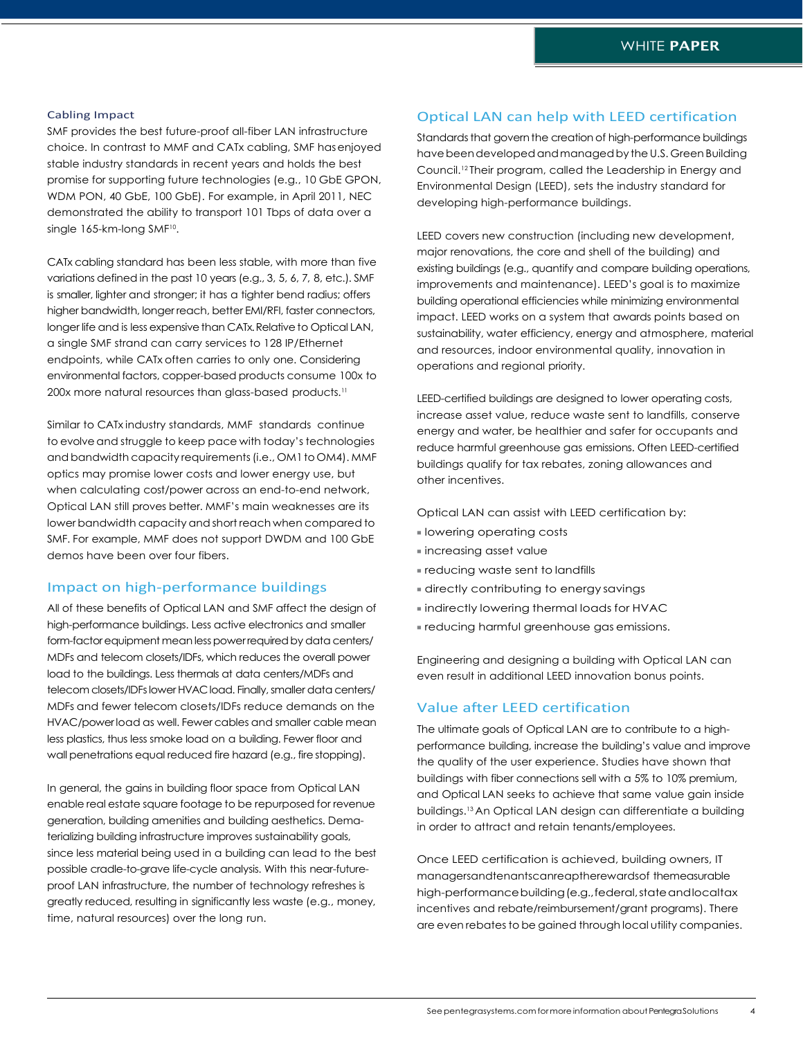#### Cabling Impact

SMF provides the best future-proof all-fiber LAN infrastructure choice. In contrast to MMF and CATx cabling, SMF hasenjoyed stable industry standards in recent years and holds the best promise for supporting future technologies (e.g., 10 GbE GPON, WDM PON, 40 GbE, 100 GbE). For example, in April 2011, NEC demonstrated the ability to transport 101 Tbps of data over a single 165-km-long SMF<sup>10</sup>.

CATx cabling standard has been less stable, with more than five variations defined in the past 10 years(e.g., 3, 5, 6, 7, 8, etc.). SMF is smaller, lighter and stronger; it has a tighter bend radius; offers higher bandwidth, longer reach, better EMI/RFI, faster connectors, longer life and is less expensive than CATx. Relative to Optical LAN, a single SMF strand can carry services to 128 IP/Ethernet endpoints, while CATx often carries to only one. Considering environmental factors, copper-based products consume 100x to 200x more natural resources than glass-based products.<sup>11</sup>

Similar to CATx industry standards, MMF standards continue to evolve and struggle to keep pace with today's technologies and bandwidth capacity requirements (i.e., OM1 to OM4). MMF optics may promise lower costs and lower energy use, but when calculating cost/power across an end-to-end network, Optical LAN still proves better. MMF's main weaknesses are its lowerbandwidth capacity andshort reach when compared to SMF. For example, MMF does not support DWDM and 100 GbE demos have been over four fibers.

# Impact on high-performance buildings

All of these benefits of Optical LAN and SMF affect the design of high-performance buildings. Less active electronics and smaller form-factor equipment mean less power required by data centers/ MDFs and telecom closets/IDFs, which reduces the overall power load to the buildings. Less thermals at data centers/MDFs and telecom closets/IDFs lower HVAC load. Finally, smaller data centers/ MDFs and fewer telecom closets/IDFs reduce demands on the HVAC/powerload as well. Fewer cables and smaller cable mean less plastics, thus less smoke load on a building. Fewer floor and wall penetrations equal reduced fire hazard (e.g., fire stopping).

In general, the gains in building floor space from Optical LAN enable real estate square footage to be repurposed for revenue generation, building amenities and building aesthetics. Dematerializing building infrastructure improves sustainability goals, since less material being used in a building can lead to the best possible cradle-to-grave life-cycle analysis. With this near-futureproof LAN infrastructure, the number of technology refreshes is greatly reduced, resulting in significantly less waste (e.g., money, time, natural resources) over the long run.

# Optical LAN can help with LEED certification

Standards that govern the creation of high-performance buildings have been developed and managed by the U.S. Green Building Council.12 Their program, called the Leadership in Energy and Environmental Design (LEED), sets the industry standard for developing high-performance buildings.

LEED covers new construction (including new development, major renovations, the core and shell of the building) and existing buildings (e.g., quantify and compare building operations, improvements and maintenance). LEED's goal is to maximize building operational efficiencies while minimizing environmental impact. LEED works on a system that awards points based on sustainability, water efficiency, energy and atmosphere, material and resources, indoor environmental quality, innovation in operations and regional priority.

LEED-certified buildings are designed to lower operating costs, increase asset value, reduce waste sent to landfills, conserve energy and water, be healthier and safer for occupants and reduce harmful greenhouse gas emissions. Often LEED-certified buildings qualify for tax rebates, zoning allowances and other incentives.

Optical LAN can assist with LEED certification by:

- lowering operating costs
- <sup>◼</sup> increasing asset value
- <sup>◼</sup> reducing waste sent to landfills
- directly contributing to energy savings
- indirectly lowering thermal loads for HVAC
- <sup>◼</sup> reducing harmful greenhouse gas emissions.

Engineering and designing a building with Optical LAN can even result in additional LEED innovation bonus points.

### Value after LEED certification

The ultimate goals of Optical LAN are to contribute to a highperformance building, increase the building's value and improve the quality of the user experience. Studies have shown that buildings with fiber connections sell with a 5% to 10% premium, and Optical LAN seeks to achieve that same value gain inside buildings.13 An Optical LAN design can differentiate a building in order to attract and retain tenants/employees.

Once LEED certification is achieved, building owners, IT managersandtenantscanreaptherewardsof themeasurable high-performancebuilding(e.g.,federal,stateandlocaltax incentives and rebate/reimbursement/grant programs). There are even rebates to be gained through local utility companies.